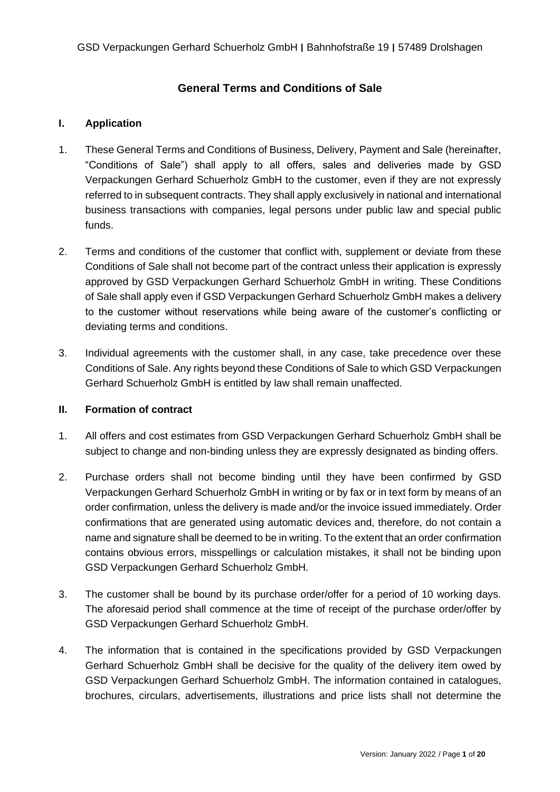# **General Terms and Conditions of Sale**

#### **I. Application**

- 1. These General Terms and Conditions of Business, Delivery, Payment and Sale (hereinafter, "Conditions of Sale") shall apply to all offers, sales and deliveries made by GSD Verpackungen Gerhard Schuerholz GmbH to the customer, even if they are not expressly referred to in subsequent contracts. They shall apply exclusively in national and international business transactions with companies, legal persons under public law and special public funds.
- 2. Terms and conditions of the customer that conflict with, supplement or deviate from these Conditions of Sale shall not become part of the contract unless their application is expressly approved by GSD Verpackungen Gerhard Schuerholz GmbH in writing. These Conditions of Sale shall apply even if GSD Verpackungen Gerhard Schuerholz GmbH makes a delivery to the customer without reservations while being aware of the customer's conflicting or deviating terms and conditions.
- 3. Individual agreements with the customer shall, in any case, take precedence over these Conditions of Sale. Any rights beyond these Conditions of Sale to which GSD Verpackungen Gerhard Schuerholz GmbH is entitled by law shall remain unaffected.

#### **II. Formation of contract**

- 1. All offers and cost estimates from GSD Verpackungen Gerhard Schuerholz GmbH shall be subject to change and non-binding unless they are expressly designated as binding offers.
- 2. Purchase orders shall not become binding until they have been confirmed by GSD Verpackungen Gerhard Schuerholz GmbH in writing or by fax or in text form by means of an order confirmation, unless the delivery is made and/or the invoice issued immediately. Order confirmations that are generated using automatic devices and, therefore, do not contain a name and signature shall be deemed to be in writing. To the extent that an order confirmation contains obvious errors, misspellings or calculation mistakes, it shall not be binding upon GSD Verpackungen Gerhard Schuerholz GmbH.
- 3. The customer shall be bound by its purchase order/offer for a period of 10 working days. The aforesaid period shall commence at the time of receipt of the purchase order/offer by GSD Verpackungen Gerhard Schuerholz GmbH.
- 4. The information that is contained in the specifications provided by GSD Verpackungen Gerhard Schuerholz GmbH shall be decisive for the quality of the delivery item owed by GSD Verpackungen Gerhard Schuerholz GmbH. The information contained in catalogues, brochures, circulars, advertisements, illustrations and price lists shall not determine the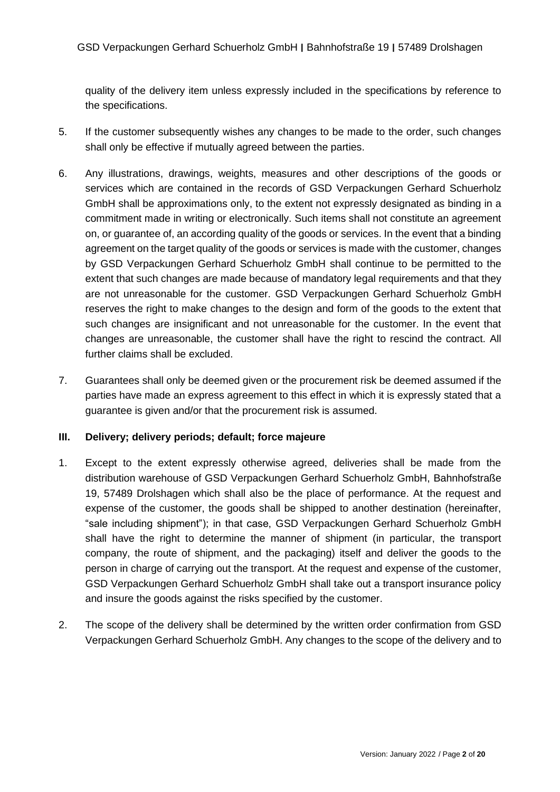quality of the delivery item unless expressly included in the specifications by reference to the specifications.

- 5. If the customer subsequently wishes any changes to be made to the order, such changes shall only be effective if mutually agreed between the parties.
- 6. Any illustrations, drawings, weights, measures and other descriptions of the goods or services which are contained in the records of GSD Verpackungen Gerhard Schuerholz GmbH shall be approximations only, to the extent not expressly designated as binding in a commitment made in writing or electronically. Such items shall not constitute an agreement on, or guarantee of, an according quality of the goods or services. In the event that a binding agreement on the target quality of the goods or services is made with the customer, changes by GSD Verpackungen Gerhard Schuerholz GmbH shall continue to be permitted to the extent that such changes are made because of mandatory legal requirements and that they are not unreasonable for the customer. GSD Verpackungen Gerhard Schuerholz GmbH reserves the right to make changes to the design and form of the goods to the extent that such changes are insignificant and not unreasonable for the customer. In the event that changes are unreasonable, the customer shall have the right to rescind the contract. All further claims shall be excluded.
- 7. Guarantees shall only be deemed given or the procurement risk be deemed assumed if the parties have made an express agreement to this effect in which it is expressly stated that a guarantee is given and/or that the procurement risk is assumed.

#### **III. Delivery; delivery periods; default; force majeure**

- 1. Except to the extent expressly otherwise agreed, deliveries shall be made from the distribution warehouse of GSD Verpackungen Gerhard Schuerholz GmbH, Bahnhofstraße 19, 57489 Drolshagen which shall also be the place of performance. At the request and expense of the customer, the goods shall be shipped to another destination (hereinafter, "sale including shipment"); in that case, GSD Verpackungen Gerhard Schuerholz GmbH shall have the right to determine the manner of shipment (in particular, the transport company, the route of shipment, and the packaging) itself and deliver the goods to the person in charge of carrying out the transport. At the request and expense of the customer, GSD Verpackungen Gerhard Schuerholz GmbH shall take out a transport insurance policy and insure the goods against the risks specified by the customer.
- 2. The scope of the delivery shall be determined by the written order confirmation from GSD Verpackungen Gerhard Schuerholz GmbH. Any changes to the scope of the delivery and to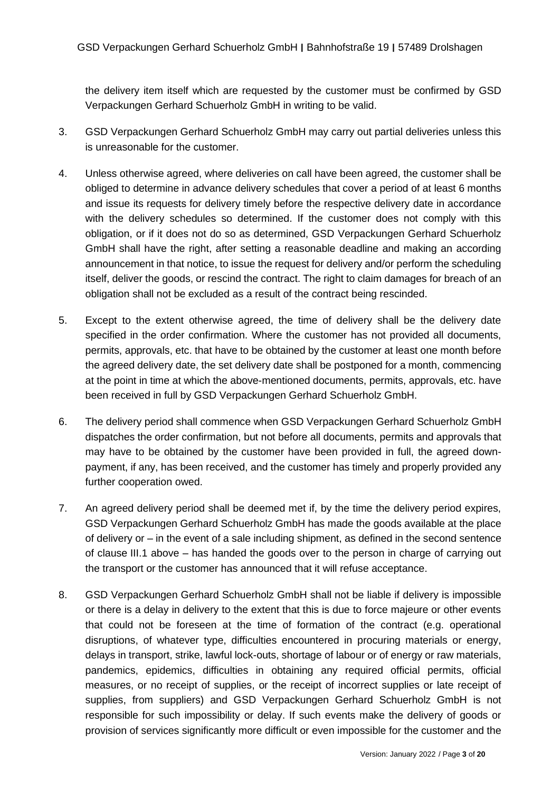the delivery item itself which are requested by the customer must be confirmed by GSD Verpackungen Gerhard Schuerholz GmbH in writing to be valid.

- 3. GSD Verpackungen Gerhard Schuerholz GmbH may carry out partial deliveries unless this is unreasonable for the customer.
- 4. Unless otherwise agreed, where deliveries on call have been agreed, the customer shall be obliged to determine in advance delivery schedules that cover a period of at least 6 months and issue its requests for delivery timely before the respective delivery date in accordance with the delivery schedules so determined. If the customer does not comply with this obligation, or if it does not do so as determined, GSD Verpackungen Gerhard Schuerholz GmbH shall have the right, after setting a reasonable deadline and making an according announcement in that notice, to issue the request for delivery and/or perform the scheduling itself, deliver the goods, or rescind the contract. The right to claim damages for breach of an obligation shall not be excluded as a result of the contract being rescinded.
- 5. Except to the extent otherwise agreed, the time of delivery shall be the delivery date specified in the order confirmation. Where the customer has not provided all documents, permits, approvals, etc. that have to be obtained by the customer at least one month before the agreed delivery date, the set delivery date shall be postponed for a month, commencing at the point in time at which the above-mentioned documents, permits, approvals, etc. have been received in full by GSD Verpackungen Gerhard Schuerholz GmbH.
- 6. The delivery period shall commence when GSD Verpackungen Gerhard Schuerholz GmbH dispatches the order confirmation, but not before all documents, permits and approvals that may have to be obtained by the customer have been provided in full, the agreed downpayment, if any, has been received, and the customer has timely and properly provided any further cooperation owed.
- 7. An agreed delivery period shall be deemed met if, by the time the delivery period expires, GSD Verpackungen Gerhard Schuerholz GmbH has made the goods available at the place of delivery or – in the event of a sale including shipment, as defined in the second sentence of clause III.1 above – has handed the goods over to the person in charge of carrying out the transport or the customer has announced that it will refuse acceptance.
- 8. GSD Verpackungen Gerhard Schuerholz GmbH shall not be liable if delivery is impossible or there is a delay in delivery to the extent that this is due to force majeure or other events that could not be foreseen at the time of formation of the contract (e.g. operational disruptions, of whatever type, difficulties encountered in procuring materials or energy, delays in transport, strike, lawful lock-outs, shortage of labour or of energy or raw materials, pandemics, epidemics, difficulties in obtaining any required official permits, official measures, or no receipt of supplies, or the receipt of incorrect supplies or late receipt of supplies, from suppliers) and GSD Verpackungen Gerhard Schuerholz GmbH is not responsible for such impossibility or delay. If such events make the delivery of goods or provision of services significantly more difficult or even impossible for the customer and the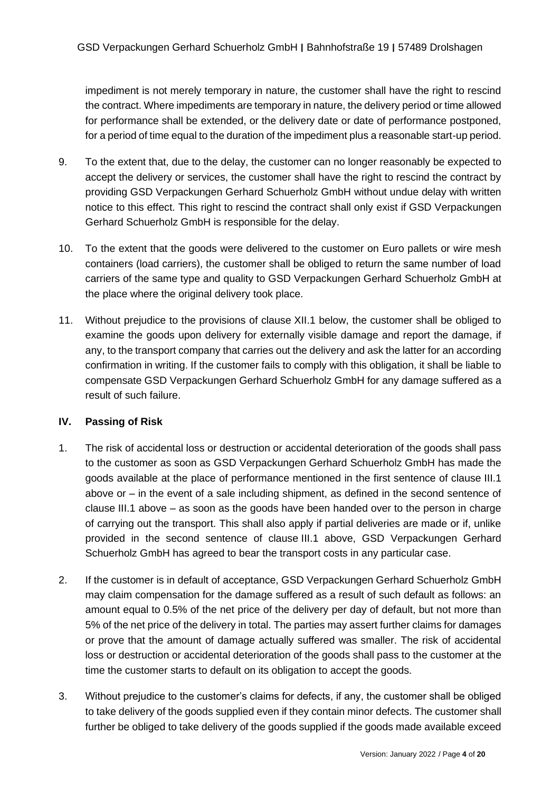impediment is not merely temporary in nature, the customer shall have the right to rescind the contract. Where impediments are temporary in nature, the delivery period or time allowed for performance shall be extended, or the delivery date or date of performance postponed, for a period of time equal to the duration of the impediment plus a reasonable start-up period.

- 9. To the extent that, due to the delay, the customer can no longer reasonably be expected to accept the delivery or services, the customer shall have the right to rescind the contract by providing GSD Verpackungen Gerhard Schuerholz GmbH without undue delay with written notice to this effect. This right to rescind the contract shall only exist if GSD Verpackungen Gerhard Schuerholz GmbH is responsible for the delay.
- 10. To the extent that the goods were delivered to the customer on Euro pallets or wire mesh containers (load carriers), the customer shall be obliged to return the same number of load carriers of the same type and quality to GSD Verpackungen Gerhard Schuerholz GmbH at the place where the original delivery took place.
- 11. Without prejudice to the provisions of clause XII.1 below, the customer shall be obliged to examine the goods upon delivery for externally visible damage and report the damage, if any, to the transport company that carries out the delivery and ask the latter for an according confirmation in writing. If the customer fails to comply with this obligation, it shall be liable to compensate GSD Verpackungen Gerhard Schuerholz GmbH for any damage suffered as a result of such failure.

# **IV. Passing of Risk**

- 1. The risk of accidental loss or destruction or accidental deterioration of the goods shall pass to the customer as soon as GSD Verpackungen Gerhard Schuerholz GmbH has made the goods available at the place of performance mentioned in the first sentence of clause III.1 above or – in the event of a sale including shipment, as defined in the second sentence of clause III.1 above – as soon as the goods have been handed over to the person in charge of carrying out the transport. This shall also apply if partial deliveries are made or if, unlike provided in the second sentence of clause III.1 above, GSD Verpackungen Gerhard Schuerholz GmbH has agreed to bear the transport costs in any particular case.
- 2. If the customer is in default of acceptance, GSD Verpackungen Gerhard Schuerholz GmbH may claim compensation for the damage suffered as a result of such default as follows: an amount equal to 0.5% of the net price of the delivery per day of default, but not more than 5% of the net price of the delivery in total. The parties may assert further claims for damages or prove that the amount of damage actually suffered was smaller. The risk of accidental loss or destruction or accidental deterioration of the goods shall pass to the customer at the time the customer starts to default on its obligation to accept the goods.
- 3. Without prejudice to the customer's claims for defects, if any, the customer shall be obliged to take delivery of the goods supplied even if they contain minor defects. The customer shall further be obliged to take delivery of the goods supplied if the goods made available exceed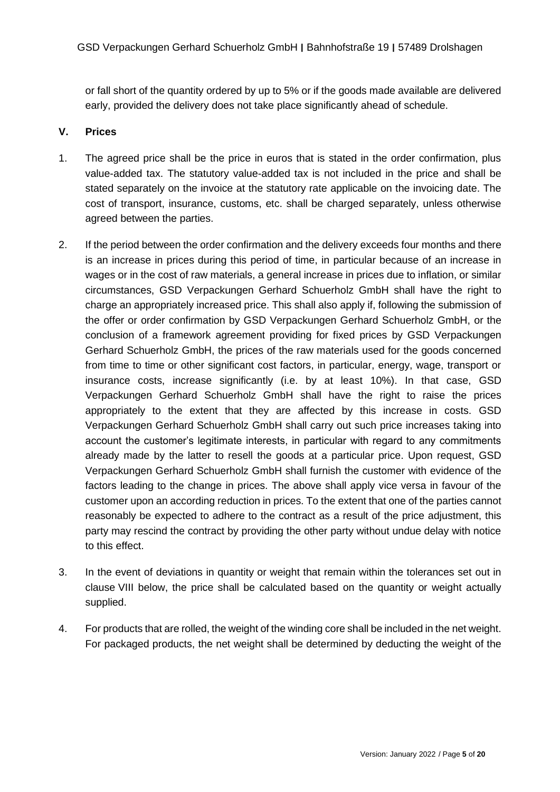or fall short of the quantity ordered by up to 5% or if the goods made available are delivered early, provided the delivery does not take place significantly ahead of schedule.

# **V. Prices**

- 1. The agreed price shall be the price in euros that is stated in the order confirmation, plus value-added tax. The statutory value-added tax is not included in the price and shall be stated separately on the invoice at the statutory rate applicable on the invoicing date. The cost of transport, insurance, customs, etc. shall be charged separately, unless otherwise agreed between the parties.
- 2. If the period between the order confirmation and the delivery exceeds four months and there is an increase in prices during this period of time, in particular because of an increase in wages or in the cost of raw materials, a general increase in prices due to inflation, or similar circumstances, GSD Verpackungen Gerhard Schuerholz GmbH shall have the right to charge an appropriately increased price. This shall also apply if, following the submission of the offer or order confirmation by GSD Verpackungen Gerhard Schuerholz GmbH, or the conclusion of a framework agreement providing for fixed prices by GSD Verpackungen Gerhard Schuerholz GmbH, the prices of the raw materials used for the goods concerned from time to time or other significant cost factors, in particular, energy, wage, transport or insurance costs, increase significantly (i.e. by at least 10%). In that case, GSD Verpackungen Gerhard Schuerholz GmbH shall have the right to raise the prices appropriately to the extent that they are affected by this increase in costs. GSD Verpackungen Gerhard Schuerholz GmbH shall carry out such price increases taking into account the customer's legitimate interests, in particular with regard to any commitments already made by the latter to resell the goods at a particular price. Upon request, GSD Verpackungen Gerhard Schuerholz GmbH shall furnish the customer with evidence of the factors leading to the change in prices. The above shall apply vice versa in favour of the customer upon an according reduction in prices. To the extent that one of the parties cannot reasonably be expected to adhere to the contract as a result of the price adjustment, this party may rescind the contract by providing the other party without undue delay with notice to this effect.
- 3. In the event of deviations in quantity or weight that remain within the tolerances set out in clause VIII below, the price shall be calculated based on the quantity or weight actually supplied.
- 4. For products that are rolled, the weight of the winding core shall be included in the net weight. For packaged products, the net weight shall be determined by deducting the weight of the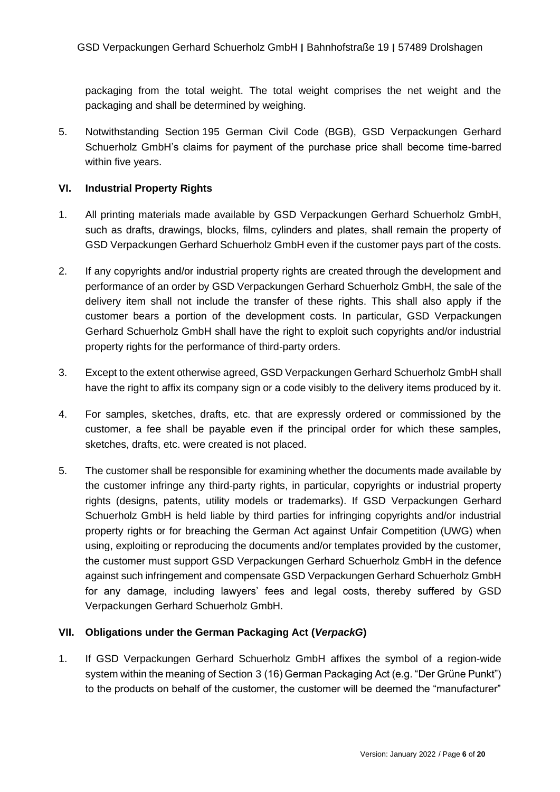packaging from the total weight. The total weight comprises the net weight and the packaging and shall be determined by weighing.

5. Notwithstanding Section 195 German Civil Code (BGB), GSD Verpackungen Gerhard Schuerholz GmbH's claims for payment of the purchase price shall become time-barred within five years.

### **VI. Industrial Property Rights**

- 1. All printing materials made available by GSD Verpackungen Gerhard Schuerholz GmbH, such as drafts, drawings, blocks, films, cylinders and plates, shall remain the property of GSD Verpackungen Gerhard Schuerholz GmbH even if the customer pays part of the costs.
- 2. If any copyrights and/or industrial property rights are created through the development and performance of an order by GSD Verpackungen Gerhard Schuerholz GmbH, the sale of the delivery item shall not include the transfer of these rights. This shall also apply if the customer bears a portion of the development costs. In particular, GSD Verpackungen Gerhard Schuerholz GmbH shall have the right to exploit such copyrights and/or industrial property rights for the performance of third-party orders.
- 3. Except to the extent otherwise agreed, GSD Verpackungen Gerhard Schuerholz GmbH shall have the right to affix its company sign or a code visibly to the delivery items produced by it.
- 4. For samples, sketches, drafts, etc. that are expressly ordered or commissioned by the customer, a fee shall be payable even if the principal order for which these samples, sketches, drafts, etc. were created is not placed.
- 5. The customer shall be responsible for examining whether the documents made available by the customer infringe any third-party rights, in particular, copyrights or industrial property rights (designs, patents, utility models or trademarks). If GSD Verpackungen Gerhard Schuerholz GmbH is held liable by third parties for infringing copyrights and/or industrial property rights or for breaching the German Act against Unfair Competition (UWG) when using, exploiting or reproducing the documents and/or templates provided by the customer, the customer must support GSD Verpackungen Gerhard Schuerholz GmbH in the defence against such infringement and compensate GSD Verpackungen Gerhard Schuerholz GmbH for any damage, including lawyers' fees and legal costs, thereby suffered by GSD Verpackungen Gerhard Schuerholz GmbH.

### **VII. Obligations under the German Packaging Act (***VerpackG***)**

1. If GSD Verpackungen Gerhard Schuerholz GmbH affixes the symbol of a region-wide system within the meaning of Section 3 (16) German Packaging Act (e.g. "Der Grüne Punkt") to the products on behalf of the customer, the customer will be deemed the "manufacturer"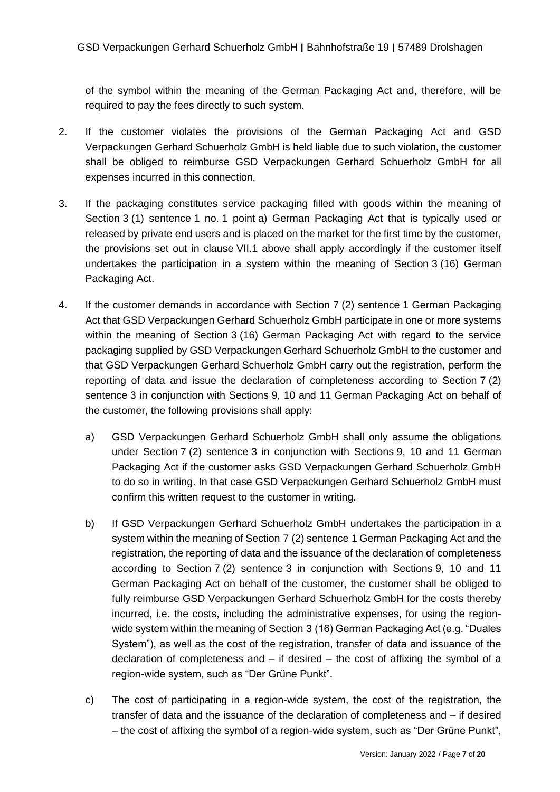of the symbol within the meaning of the German Packaging Act and, therefore, will be required to pay the fees directly to such system.

- 2. If the customer violates the provisions of the German Packaging Act and GSD Verpackungen Gerhard Schuerholz GmbH is held liable due to such violation, the customer shall be obliged to reimburse GSD Verpackungen Gerhard Schuerholz GmbH for all expenses incurred in this connection.
- 3. If the packaging constitutes service packaging filled with goods within the meaning of Section 3 (1) sentence 1 no. 1 point a) German Packaging Act that is typically used or released by private end users and is placed on the market for the first time by the customer, the provisions set out in clause VII.1 above shall apply accordingly if the customer itself undertakes the participation in a system within the meaning of Section 3 (16) German Packaging Act.
- 4. If the customer demands in accordance with Section 7 (2) sentence 1 German Packaging Act that GSD Verpackungen Gerhard Schuerholz GmbH participate in one or more systems within the meaning of Section 3 (16) German Packaging Act with regard to the service packaging supplied by GSD Verpackungen Gerhard Schuerholz GmbH to the customer and that GSD Verpackungen Gerhard Schuerholz GmbH carry out the registration, perform the reporting of data and issue the declaration of completeness according to Section 7 (2) sentence 3 in conjunction with Sections 9, 10 and 11 German Packaging Act on behalf of the customer, the following provisions shall apply:
	- a) GSD Verpackungen Gerhard Schuerholz GmbH shall only assume the obligations under Section 7 (2) sentence 3 in conjunction with Sections 9, 10 and 11 German Packaging Act if the customer asks GSD Verpackungen Gerhard Schuerholz GmbH to do so in writing. In that case GSD Verpackungen Gerhard Schuerholz GmbH must confirm this written request to the customer in writing.
	- b) If GSD Verpackungen Gerhard Schuerholz GmbH undertakes the participation in a system within the meaning of Section 7 (2) sentence 1 German Packaging Act and the registration, the reporting of data and the issuance of the declaration of completeness according to Section 7 (2) sentence 3 in conjunction with Sections 9, 10 and 11 German Packaging Act on behalf of the customer, the customer shall be obliged to fully reimburse GSD Verpackungen Gerhard Schuerholz GmbH for the costs thereby incurred, i.e. the costs, including the administrative expenses, for using the regionwide system within the meaning of Section 3 (16) German Packaging Act (e.g. "Duales System"), as well as the cost of the registration, transfer of data and issuance of the declaration of completeness and  $-$  if desired  $-$  the cost of affixing the symbol of a region-wide system, such as "Der Grüne Punkt".
	- c) The cost of participating in a region-wide system, the cost of the registration, the transfer of data and the issuance of the declaration of completeness and – if desired – the cost of affixing the symbol of a region-wide system, such as "Der Grüne Punkt",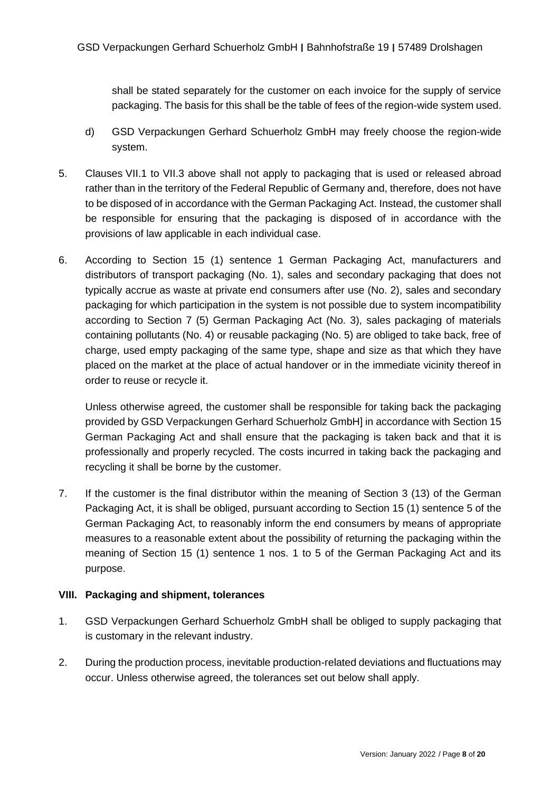shall be stated separately for the customer on each invoice for the supply of service packaging. The basis for this shall be the table of fees of the region-wide system used.

- d) GSD Verpackungen Gerhard Schuerholz GmbH may freely choose the region-wide system.
- 5. Clauses VII.1 to VII.3 above shall not apply to packaging that is used or released abroad rather than in the territory of the Federal Republic of Germany and, therefore, does not have to be disposed of in accordance with the German Packaging Act. Instead, the customer shall be responsible for ensuring that the packaging is disposed of in accordance with the provisions of law applicable in each individual case.
- 6. According to Section 15 (1) sentence 1 German Packaging Act, manufacturers and distributors of transport packaging (No. 1), sales and secondary packaging that does not typically accrue as waste at private end consumers after use (No. 2), sales and secondary packaging for which participation in the system is not possible due to system incompatibility according to Section 7 (5) German Packaging Act (No. 3), sales packaging of materials containing pollutants (No. 4) or reusable packaging (No. 5) are obliged to take back, free of charge, used empty packaging of the same type, shape and size as that which they have placed on the market at the place of actual handover or in the immediate vicinity thereof in order to reuse or recycle it.

Unless otherwise agreed, the customer shall be responsible for taking back the packaging provided by GSD Verpackungen Gerhard Schuerholz GmbH] in accordance with Section 15 German Packaging Act and shall ensure that the packaging is taken back and that it is professionally and properly recycled. The costs incurred in taking back the packaging and recycling it shall be borne by the customer.

7. If the customer is the final distributor within the meaning of Section 3 (13) of the German Packaging Act, it is shall be obliged, pursuant according to Section 15 (1) sentence 5 of the German Packaging Act, to reasonably inform the end consumers by means of appropriate measures to a reasonable extent about the possibility of returning the packaging within the meaning of Section 15 (1) sentence 1 nos. 1 to 5 of the German Packaging Act and its purpose.

#### **VIII. Packaging and shipment, tolerances**

- 1. GSD Verpackungen Gerhard Schuerholz GmbH shall be obliged to supply packaging that is customary in the relevant industry.
- 2. During the production process, inevitable production-related deviations and fluctuations may occur. Unless otherwise agreed, the tolerances set out below shall apply.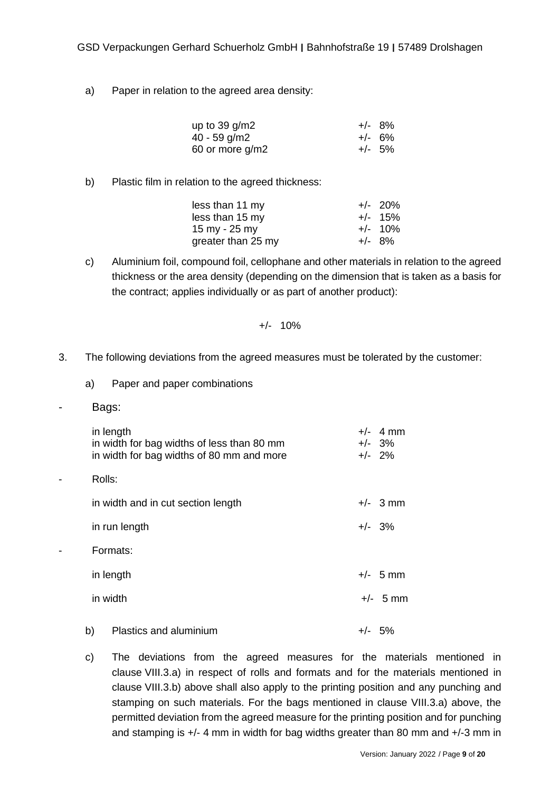a) Paper in relation to the agreed area density:

| up to $39$ g/m2 | $+/-$ 8%  |
|-----------------|-----------|
| $40 - 59$ g/m2  | $+/- 6\%$ |
| 60 or more g/m2 | $+/-$ 5%  |

b) Plastic film in relation to the agreed thickness:

| less than 11 my    | $+/- 20\%$ |
|--------------------|------------|
| less than 15 my    | $+/-$ 15%  |
| 15 my - 25 my      | $+/-$ 10%  |
| greater than 25 my | $+/-$ 8%   |

c) Aluminium foil, compound foil, cellophane and other materials in relation to the agreed thickness or the area density (depending on the dimension that is taken as a basis for the contract; applies individually or as part of another product):

$$
+/- 10\%
$$

- 3. The following deviations from the agreed measures must be tolerated by the customer:
	- a) Paper and paper combinations
- Bags:

| in length<br>in width for bag widths of less than 80 mm<br>in width for bag widths of 80 mm and more | $+/-$ 4 mm<br>$+/-$ 3%<br>$+/-$ 2% |
|------------------------------------------------------------------------------------------------------|------------------------------------|
| Rolls:                                                                                               |                                    |
| in width and in cut section length                                                                   | $+/-$ 3 mm                         |
| in run length                                                                                        | $+/-$ 3%                           |
| Formats:                                                                                             |                                    |
| in length                                                                                            | $+/-$ 5 mm                         |
| in width                                                                                             | $+/-$ 5 mm                         |
| b)<br>Plastics and aluminium                                                                         | $+/-$ 5%                           |

c) The deviations from the agreed measures for the materials mentioned in clause VIII.3.a) in respect of rolls and formats and for the materials mentioned in clause VIII.3.b) above shall also apply to the printing position and any punching and stamping on such materials. For the bags mentioned in clause VIII.3.a) above, the permitted deviation from the agreed measure for the printing position and for punching and stamping is +/- 4 mm in width for bag widths greater than 80 mm and +/-3 mm in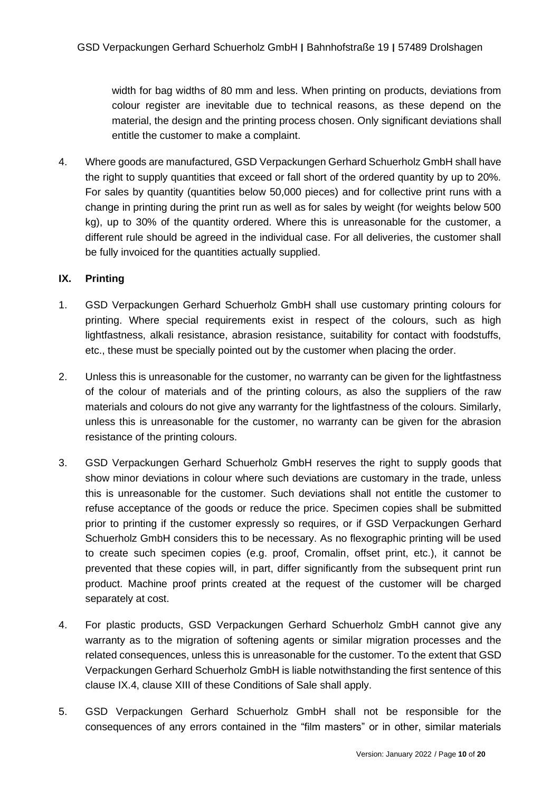width for bag widths of 80 mm and less. When printing on products, deviations from colour register are inevitable due to technical reasons, as these depend on the material, the design and the printing process chosen. Only significant deviations shall entitle the customer to make a complaint.

4. Where goods are manufactured, GSD Verpackungen Gerhard Schuerholz GmbH shall have the right to supply quantities that exceed or fall short of the ordered quantity by up to 20%. For sales by quantity (quantities below 50,000 pieces) and for collective print runs with a change in printing during the print run as well as for sales by weight (for weights below 500 kg), up to 30% of the quantity ordered. Where this is unreasonable for the customer, a different rule should be agreed in the individual case. For all deliveries, the customer shall be fully invoiced for the quantities actually supplied.

### **IX. Printing**

- 1. GSD Verpackungen Gerhard Schuerholz GmbH shall use customary printing colours for printing. Where special requirements exist in respect of the colours, such as high lightfastness, alkali resistance, abrasion resistance, suitability for contact with foodstuffs, etc., these must be specially pointed out by the customer when placing the order.
- 2. Unless this is unreasonable for the customer, no warranty can be given for the lightfastness of the colour of materials and of the printing colours, as also the suppliers of the raw materials and colours do not give any warranty for the lightfastness of the colours. Similarly, unless this is unreasonable for the customer, no warranty can be given for the abrasion resistance of the printing colours.
- 3. GSD Verpackungen Gerhard Schuerholz GmbH reserves the right to supply goods that show minor deviations in colour where such deviations are customary in the trade, unless this is unreasonable for the customer. Such deviations shall not entitle the customer to refuse acceptance of the goods or reduce the price. Specimen copies shall be submitted prior to printing if the customer expressly so requires, or if GSD Verpackungen Gerhard Schuerholz GmbH considers this to be necessary. As no flexographic printing will be used to create such specimen copies (e.g. proof, Cromalin, offset print, etc.), it cannot be prevented that these copies will, in part, differ significantly from the subsequent print run product. Machine proof prints created at the request of the customer will be charged separately at cost.
- 4. For plastic products, GSD Verpackungen Gerhard Schuerholz GmbH cannot give any warranty as to the migration of softening agents or similar migration processes and the related consequences, unless this is unreasonable for the customer. To the extent that GSD Verpackungen Gerhard Schuerholz GmbH is liable notwithstanding the first sentence of this clause IX.4, clause XIII of these Conditions of Sale shall apply.
- 5. GSD Verpackungen Gerhard Schuerholz GmbH shall not be responsible for the consequences of any errors contained in the "film masters" or in other, similar materials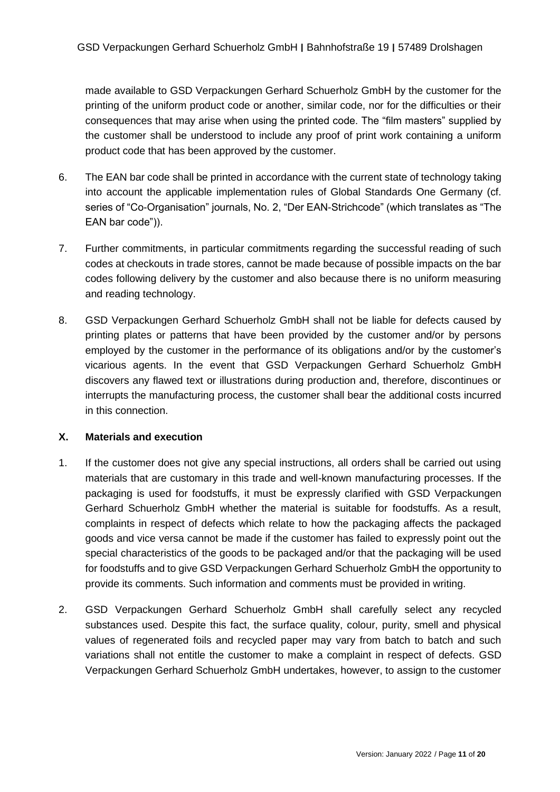made available to GSD Verpackungen Gerhard Schuerholz GmbH by the customer for the printing of the uniform product code or another, similar code, nor for the difficulties or their consequences that may arise when using the printed code. The "film masters" supplied by the customer shall be understood to include any proof of print work containing a uniform product code that has been approved by the customer.

- 6. The EAN bar code shall be printed in accordance with the current state of technology taking into account the applicable implementation rules of Global Standards One Germany (cf. series of "Co-Organisation" journals, No. 2, "Der EAN-Strichcode" (which translates as "The EAN bar code")).
- 7. Further commitments, in particular commitments regarding the successful reading of such codes at checkouts in trade stores, cannot be made because of possible impacts on the bar codes following delivery by the customer and also because there is no uniform measuring and reading technology.
- 8. GSD Verpackungen Gerhard Schuerholz GmbH shall not be liable for defects caused by printing plates or patterns that have been provided by the customer and/or by persons employed by the customer in the performance of its obligations and/or by the customer's vicarious agents. In the event that GSD Verpackungen Gerhard Schuerholz GmbH discovers any flawed text or illustrations during production and, therefore, discontinues or interrupts the manufacturing process, the customer shall bear the additional costs incurred in this connection.

#### **X. Materials and execution**

- 1. If the customer does not give any special instructions, all orders shall be carried out using materials that are customary in this trade and well-known manufacturing processes. If the packaging is used for foodstuffs, it must be expressly clarified with GSD Verpackungen Gerhard Schuerholz GmbH whether the material is suitable for foodstuffs. As a result, complaints in respect of defects which relate to how the packaging affects the packaged goods and vice versa cannot be made if the customer has failed to expressly point out the special characteristics of the goods to be packaged and/or that the packaging will be used for foodstuffs and to give GSD Verpackungen Gerhard Schuerholz GmbH the opportunity to provide its comments. Such information and comments must be provided in writing.
- 2. GSD Verpackungen Gerhard Schuerholz GmbH shall carefully select any recycled substances used. Despite this fact, the surface quality, colour, purity, smell and physical values of regenerated foils and recycled paper may vary from batch to batch and such variations shall not entitle the customer to make a complaint in respect of defects. GSD Verpackungen Gerhard Schuerholz GmbH undertakes, however, to assign to the customer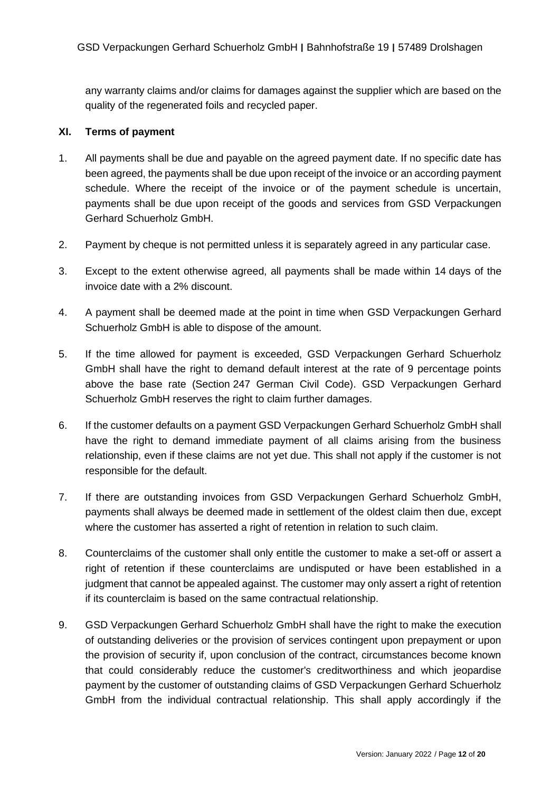any warranty claims and/or claims for damages against the supplier which are based on the quality of the regenerated foils and recycled paper.

### **XI. Terms of payment**

- 1. All payments shall be due and payable on the agreed payment date. If no specific date has been agreed, the payments shall be due upon receipt of the invoice or an according payment schedule. Where the receipt of the invoice or of the payment schedule is uncertain, payments shall be due upon receipt of the goods and services from GSD Verpackungen Gerhard Schuerholz GmbH.
- 2. Payment by cheque is not permitted unless it is separately agreed in any particular case.
- 3. Except to the extent otherwise agreed, all payments shall be made within 14 days of the invoice date with a 2% discount.
- 4. A payment shall be deemed made at the point in time when GSD Verpackungen Gerhard Schuerholz GmbH is able to dispose of the amount.
- 5. If the time allowed for payment is exceeded, GSD Verpackungen Gerhard Schuerholz GmbH shall have the right to demand default interest at the rate of 9 percentage points above the base rate (Section 247 German Civil Code). GSD Verpackungen Gerhard Schuerholz GmbH reserves the right to claim further damages.
- 6. If the customer defaults on a payment GSD Verpackungen Gerhard Schuerholz GmbH shall have the right to demand immediate payment of all claims arising from the business relationship, even if these claims are not yet due. This shall not apply if the customer is not responsible for the default.
- 7. If there are outstanding invoices from GSD Verpackungen Gerhard Schuerholz GmbH, payments shall always be deemed made in settlement of the oldest claim then due, except where the customer has asserted a right of retention in relation to such claim.
- 8. Counterclaims of the customer shall only entitle the customer to make a set-off or assert a right of retention if these counterclaims are undisputed or have been established in a judgment that cannot be appealed against. The customer may only assert a right of retention if its counterclaim is based on the same contractual relationship.
- 9. GSD Verpackungen Gerhard Schuerholz GmbH shall have the right to make the execution of outstanding deliveries or the provision of services contingent upon prepayment or upon the provision of security if, upon conclusion of the contract, circumstances become known that could considerably reduce the customer's creditworthiness and which jeopardise payment by the customer of outstanding claims of GSD Verpackungen Gerhard Schuerholz GmbH from the individual contractual relationship. This shall apply accordingly if the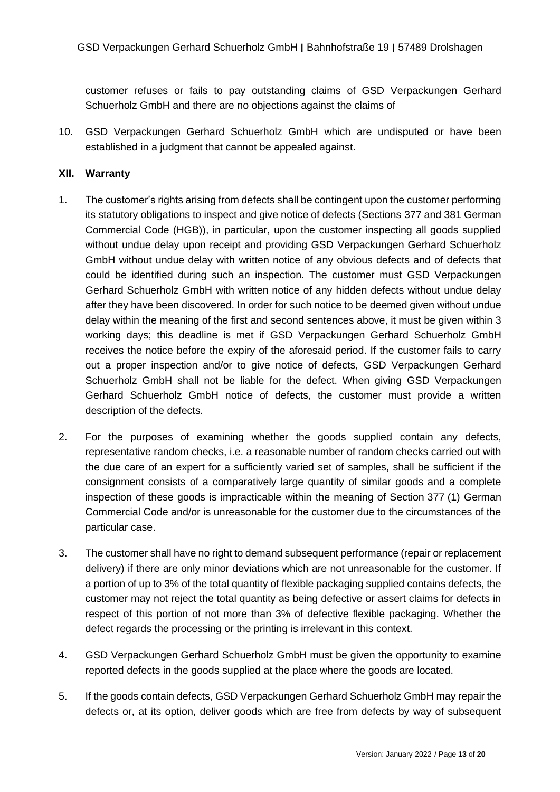customer refuses or fails to pay outstanding claims of GSD Verpackungen Gerhard Schuerholz GmbH and there are no objections against the claims of

10. GSD Verpackungen Gerhard Schuerholz GmbH which are undisputed or have been established in a judgment that cannot be appealed against.

#### **XII. Warranty**

- 1. The customer's rights arising from defects shall be contingent upon the customer performing its statutory obligations to inspect and give notice of defects (Sections 377 and 381 German Commercial Code (HGB)), in particular, upon the customer inspecting all goods supplied without undue delay upon receipt and providing GSD Verpackungen Gerhard Schuerholz GmbH without undue delay with written notice of any obvious defects and of defects that could be identified during such an inspection. The customer must GSD Verpackungen Gerhard Schuerholz GmbH with written notice of any hidden defects without undue delay after they have been discovered. In order for such notice to be deemed given without undue delay within the meaning of the first and second sentences above, it must be given within 3 working days; this deadline is met if GSD Verpackungen Gerhard Schuerholz GmbH receives the notice before the expiry of the aforesaid period. If the customer fails to carry out a proper inspection and/or to give notice of defects, GSD Verpackungen Gerhard Schuerholz GmbH shall not be liable for the defect. When giving GSD Verpackungen Gerhard Schuerholz GmbH notice of defects, the customer must provide a written description of the defects.
- 2. For the purposes of examining whether the goods supplied contain any defects, representative random checks, i.e. a reasonable number of random checks carried out with the due care of an expert for a sufficiently varied set of samples, shall be sufficient if the consignment consists of a comparatively large quantity of similar goods and a complete inspection of these goods is impracticable within the meaning of Section 377 (1) German Commercial Code and/or is unreasonable for the customer due to the circumstances of the particular case.
- 3. The customer shall have no right to demand subsequent performance (repair or replacement delivery) if there are only minor deviations which are not unreasonable for the customer. If a portion of up to 3% of the total quantity of flexible packaging supplied contains defects, the customer may not reject the total quantity as being defective or assert claims for defects in respect of this portion of not more than 3% of defective flexible packaging. Whether the defect regards the processing or the printing is irrelevant in this context.
- 4. GSD Verpackungen Gerhard Schuerholz GmbH must be given the opportunity to examine reported defects in the goods supplied at the place where the goods are located.
- 5. If the goods contain defects, GSD Verpackungen Gerhard Schuerholz GmbH may repair the defects or, at its option, deliver goods which are free from defects by way of subsequent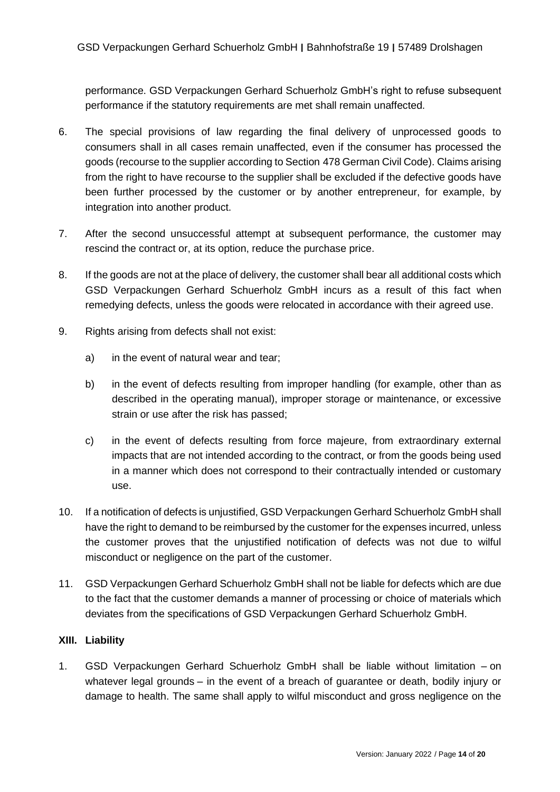performance. GSD Verpackungen Gerhard Schuerholz GmbH's right to refuse subsequent performance if the statutory requirements are met shall remain unaffected.

- 6. The special provisions of law regarding the final delivery of unprocessed goods to consumers shall in all cases remain unaffected, even if the consumer has processed the goods (recourse to the supplier according to Section 478 German Civil Code). Claims arising from the right to have recourse to the supplier shall be excluded if the defective goods have been further processed by the customer or by another entrepreneur, for example, by integration into another product.
- 7. After the second unsuccessful attempt at subsequent performance, the customer may rescind the contract or, at its option, reduce the purchase price.
- 8. If the goods are not at the place of delivery, the customer shall bear all additional costs which GSD Verpackungen Gerhard Schuerholz GmbH incurs as a result of this fact when remedying defects, unless the goods were relocated in accordance with their agreed use.
- 9. Rights arising from defects shall not exist:
	- a) in the event of natural wear and tear;
	- b) in the event of defects resulting from improper handling (for example, other than as described in the operating manual), improper storage or maintenance, or excessive strain or use after the risk has passed;
	- c) in the event of defects resulting from force majeure, from extraordinary external impacts that are not intended according to the contract, or from the goods being used in a manner which does not correspond to their contractually intended or customary use.
- 10. If a notification of defects is unjustified, GSD Verpackungen Gerhard Schuerholz GmbH shall have the right to demand to be reimbursed by the customer for the expenses incurred, unless the customer proves that the unjustified notification of defects was not due to wilful misconduct or negligence on the part of the customer.
- 11. GSD Verpackungen Gerhard Schuerholz GmbH shall not be liable for defects which are due to the fact that the customer demands a manner of processing or choice of materials which deviates from the specifications of GSD Verpackungen Gerhard Schuerholz GmbH.

### **XIII. Liability**

1. GSD Verpackungen Gerhard Schuerholz GmbH shall be liable without limitation – on whatever legal grounds – in the event of a breach of guarantee or death, bodily injury or damage to health. The same shall apply to wilful misconduct and gross negligence on the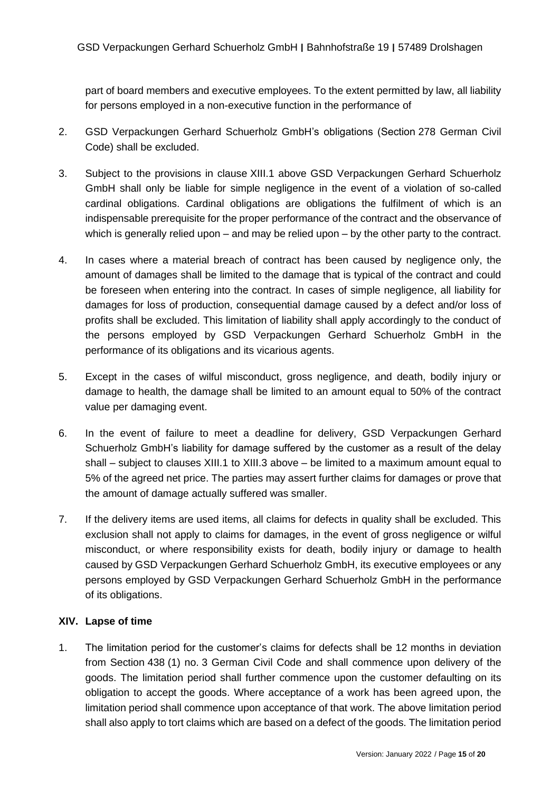part of board members and executive employees. To the extent permitted by law, all liability for persons employed in a non-executive function in the performance of

- 2. GSD Verpackungen Gerhard Schuerholz GmbH's obligations (Section 278 German Civil Code) shall be excluded.
- 3. Subject to the provisions in clause XIII.1 above GSD Verpackungen Gerhard Schuerholz GmbH shall only be liable for simple negligence in the event of a violation of so-called cardinal obligations. Cardinal obligations are obligations the fulfilment of which is an indispensable prerequisite for the proper performance of the contract and the observance of which is generally relied upon – and may be relied upon – by the other party to the contract.
- 4. In cases where a material breach of contract has been caused by negligence only, the amount of damages shall be limited to the damage that is typical of the contract and could be foreseen when entering into the contract. In cases of simple negligence, all liability for damages for loss of production, consequential damage caused by a defect and/or loss of profits shall be excluded. This limitation of liability shall apply accordingly to the conduct of the persons employed by GSD Verpackungen Gerhard Schuerholz GmbH in the performance of its obligations and its vicarious agents.
- 5. Except in the cases of wilful misconduct, gross negligence, and death, bodily injury or damage to health, the damage shall be limited to an amount equal to 50% of the contract value per damaging event.
- 6. In the event of failure to meet a deadline for delivery, GSD Verpackungen Gerhard Schuerholz GmbH's liability for damage suffered by the customer as a result of the delay shall – subject to clauses XIII.1 to XIII.3 above – be limited to a maximum amount equal to 5% of the agreed net price. The parties may assert further claims for damages or prove that the amount of damage actually suffered was smaller.
- 7. If the delivery items are used items, all claims for defects in quality shall be excluded. This exclusion shall not apply to claims for damages, in the event of gross negligence or wilful misconduct, or where responsibility exists for death, bodily injury or damage to health caused by GSD Verpackungen Gerhard Schuerholz GmbH, its executive employees or any persons employed by GSD Verpackungen Gerhard Schuerholz GmbH in the performance of its obligations.

# **XIV. Lapse of time**

1. The limitation period for the customer's claims for defects shall be 12 months in deviation from Section 438 (1) no. 3 German Civil Code and shall commence upon delivery of the goods. The limitation period shall further commence upon the customer defaulting on its obligation to accept the goods. Where acceptance of a work has been agreed upon, the limitation period shall commence upon acceptance of that work. The above limitation period shall also apply to tort claims which are based on a defect of the goods. The limitation period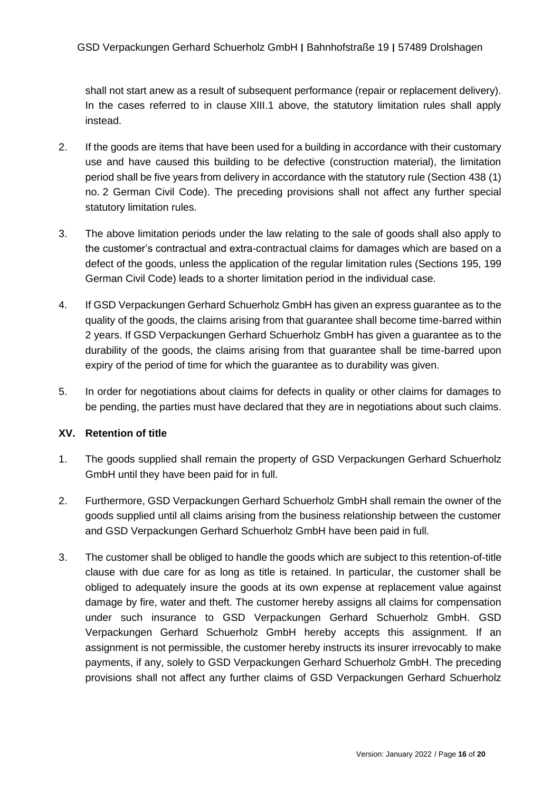shall not start anew as a result of subsequent performance (repair or replacement delivery). In the cases referred to in clause XIII.1 above, the statutory limitation rules shall apply instead.

- 2. If the goods are items that have been used for a building in accordance with their customary use and have caused this building to be defective (construction material), the limitation period shall be five years from delivery in accordance with the statutory rule (Section 438 (1) no. 2 German Civil Code). The preceding provisions shall not affect any further special statutory limitation rules.
- 3. The above limitation periods under the law relating to the sale of goods shall also apply to the customer's contractual and extra-contractual claims for damages which are based on a defect of the goods, unless the application of the regular limitation rules (Sections 195, 199 German Civil Code) leads to a shorter limitation period in the individual case.
- 4. If GSD Verpackungen Gerhard Schuerholz GmbH has given an express guarantee as to the quality of the goods, the claims arising from that guarantee shall become time-barred within 2 years. If GSD Verpackungen Gerhard Schuerholz GmbH has given a guarantee as to the durability of the goods, the claims arising from that guarantee shall be time-barred upon expiry of the period of time for which the guarantee as to durability was given.
- 5. In order for negotiations about claims for defects in quality or other claims for damages to be pending, the parties must have declared that they are in negotiations about such claims.

# **XV. Retention of title**

- 1. The goods supplied shall remain the property of GSD Verpackungen Gerhard Schuerholz GmbH until they have been paid for in full.
- 2. Furthermore, GSD Verpackungen Gerhard Schuerholz GmbH shall remain the owner of the goods supplied until all claims arising from the business relationship between the customer and GSD Verpackungen Gerhard Schuerholz GmbH have been paid in full.
- 3. The customer shall be obliged to handle the goods which are subject to this retention-of-title clause with due care for as long as title is retained. In particular, the customer shall be obliged to adequately insure the goods at its own expense at replacement value against damage by fire, water and theft. The customer hereby assigns all claims for compensation under such insurance to GSD Verpackungen Gerhard Schuerholz GmbH. GSD Verpackungen Gerhard Schuerholz GmbH hereby accepts this assignment. If an assignment is not permissible, the customer hereby instructs its insurer irrevocably to make payments, if any, solely to GSD Verpackungen Gerhard Schuerholz GmbH. The preceding provisions shall not affect any further claims of GSD Verpackungen Gerhard Schuerholz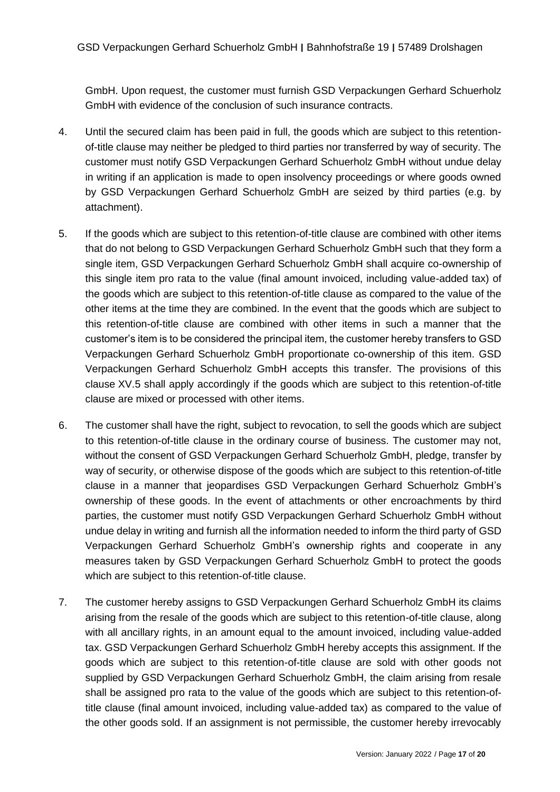GmbH. Upon request, the customer must furnish GSD Verpackungen Gerhard Schuerholz GmbH with evidence of the conclusion of such insurance contracts.

- 4. Until the secured claim has been paid in full, the goods which are subject to this retentionof-title clause may neither be pledged to third parties nor transferred by way of security. The customer must notify GSD Verpackungen Gerhard Schuerholz GmbH without undue delay in writing if an application is made to open insolvency proceedings or where goods owned by GSD Verpackungen Gerhard Schuerholz GmbH are seized by third parties (e.g. by attachment).
- 5. If the goods which are subject to this retention-of-title clause are combined with other items that do not belong to GSD Verpackungen Gerhard Schuerholz GmbH such that they form a single item, GSD Verpackungen Gerhard Schuerholz GmbH shall acquire co-ownership of this single item pro rata to the value (final amount invoiced, including value-added tax) of the goods which are subject to this retention-of-title clause as compared to the value of the other items at the time they are combined. In the event that the goods which are subject to this retention-of-title clause are combined with other items in such a manner that the customer's item is to be considered the principal item, the customer hereby transfers to GSD Verpackungen Gerhard Schuerholz GmbH proportionate co-ownership of this item. GSD Verpackungen Gerhard Schuerholz GmbH accepts this transfer. The provisions of this clause XV.5 shall apply accordingly if the goods which are subject to this retention-of-title clause are mixed or processed with other items.
- 6. The customer shall have the right, subject to revocation, to sell the goods which are subject to this retention-of-title clause in the ordinary course of business. The customer may not, without the consent of GSD Verpackungen Gerhard Schuerholz GmbH, pledge, transfer by way of security, or otherwise dispose of the goods which are subject to this retention-of-title clause in a manner that jeopardises GSD Verpackungen Gerhard Schuerholz GmbH's ownership of these goods. In the event of attachments or other encroachments by third parties, the customer must notify GSD Verpackungen Gerhard Schuerholz GmbH without undue delay in writing and furnish all the information needed to inform the third party of GSD Verpackungen Gerhard Schuerholz GmbH's ownership rights and cooperate in any measures taken by GSD Verpackungen Gerhard Schuerholz GmbH to protect the goods which are subject to this retention-of-title clause.
- 7. The customer hereby assigns to GSD Verpackungen Gerhard Schuerholz GmbH its claims arising from the resale of the goods which are subject to this retention-of-title clause, along with all ancillary rights, in an amount equal to the amount invoiced, including value-added tax. GSD Verpackungen Gerhard Schuerholz GmbH hereby accepts this assignment. If the goods which are subject to this retention-of-title clause are sold with other goods not supplied by GSD Verpackungen Gerhard Schuerholz GmbH, the claim arising from resale shall be assigned pro rata to the value of the goods which are subject to this retention-oftitle clause (final amount invoiced, including value-added tax) as compared to the value of the other goods sold. If an assignment is not permissible, the customer hereby irrevocably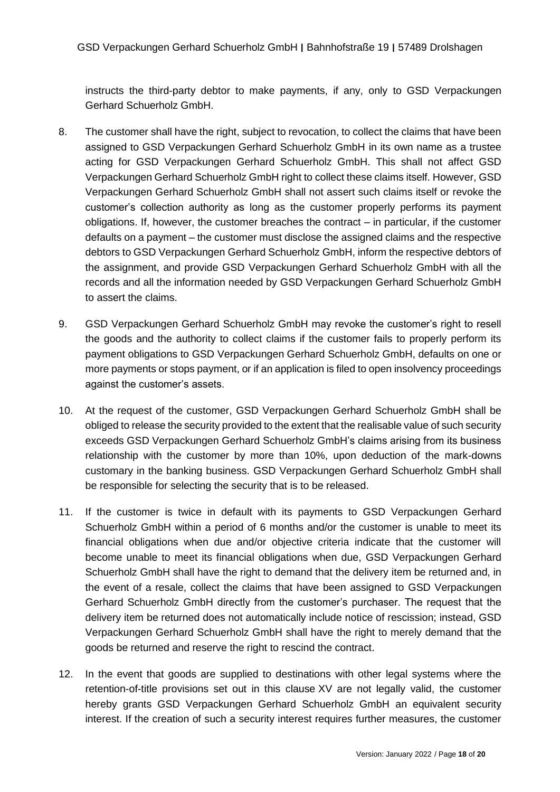instructs the third-party debtor to make payments, if any, only to GSD Verpackungen Gerhard Schuerholz GmbH.

- 8. The customer shall have the right, subject to revocation, to collect the claims that have been assigned to GSD Verpackungen Gerhard Schuerholz GmbH in its own name as a trustee acting for GSD Verpackungen Gerhard Schuerholz GmbH. This shall not affect GSD Verpackungen Gerhard Schuerholz GmbH right to collect these claims itself. However, GSD Verpackungen Gerhard Schuerholz GmbH shall not assert such claims itself or revoke the customer's collection authority as long as the customer properly performs its payment obligations. If, however, the customer breaches the contract – in particular, if the customer defaults on a payment – the customer must disclose the assigned claims and the respective debtors to GSD Verpackungen Gerhard Schuerholz GmbH, inform the respective debtors of the assignment, and provide GSD Verpackungen Gerhard Schuerholz GmbH with all the records and all the information needed by GSD Verpackungen Gerhard Schuerholz GmbH to assert the claims.
- 9. GSD Verpackungen Gerhard Schuerholz GmbH may revoke the customer's right to resell the goods and the authority to collect claims if the customer fails to properly perform its payment obligations to GSD Verpackungen Gerhard Schuerholz GmbH, defaults on one or more payments or stops payment, or if an application is filed to open insolvency proceedings against the customer's assets.
- 10. At the request of the customer, GSD Verpackungen Gerhard Schuerholz GmbH shall be obliged to release the security provided to the extent that the realisable value of such security exceeds GSD Verpackungen Gerhard Schuerholz GmbH's claims arising from its business relationship with the customer by more than 10%, upon deduction of the mark-downs customary in the banking business. GSD Verpackungen Gerhard Schuerholz GmbH shall be responsible for selecting the security that is to be released.
- 11. If the customer is twice in default with its payments to GSD Verpackungen Gerhard Schuerholz GmbH within a period of 6 months and/or the customer is unable to meet its financial obligations when due and/or objective criteria indicate that the customer will become unable to meet its financial obligations when due, GSD Verpackungen Gerhard Schuerholz GmbH shall have the right to demand that the delivery item be returned and, in the event of a resale, collect the claims that have been assigned to GSD Verpackungen Gerhard Schuerholz GmbH directly from the customer's purchaser. The request that the delivery item be returned does not automatically include notice of rescission; instead, GSD Verpackungen Gerhard Schuerholz GmbH shall have the right to merely demand that the goods be returned and reserve the right to rescind the contract.
- 12. In the event that goods are supplied to destinations with other legal systems where the retention-of-title provisions set out in this clause XV are not legally valid, the customer hereby grants GSD Verpackungen Gerhard Schuerholz GmbH an equivalent security interest. If the creation of such a security interest requires further measures, the customer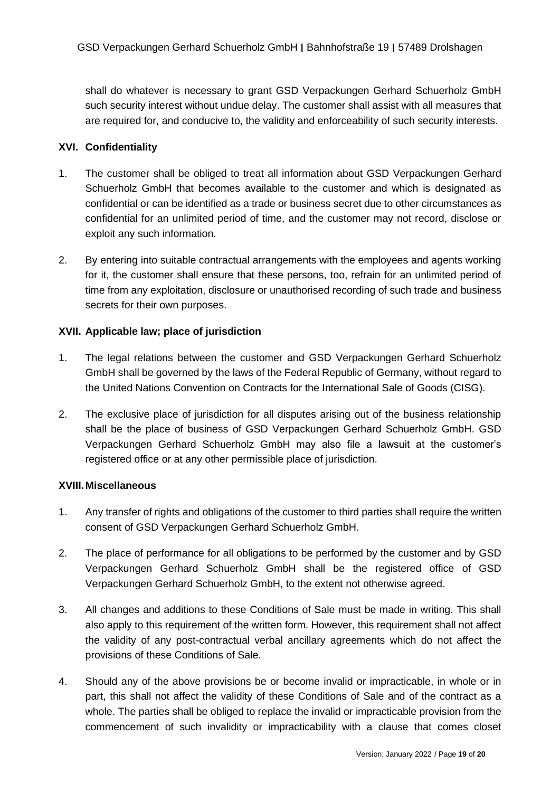shall do whatever is necessary to grant GSD Verpackungen Gerhard Schuerholz GmbH such security interest without undue delay. The customer shall assist with all measures that are required for, and conducive to, the validity and enforceability of such security interests.

## **XVI. Confidentiality**

- 1. The customer shall be obliged to treat all information about GSD Verpackungen Gerhard Schuerholz GmbH that becomes available to the customer and which is designated as confidential or can be identified as a trade or business secret due to other circumstances as confidential for an unlimited period of time, and the customer may not record, disclose or exploit any such information.
- 2. By entering into suitable contractual arrangements with the employees and agents working for it, the customer shall ensure that these persons, too, refrain for an unlimited period of time from any exploitation, disclosure or unauthorised recording of such trade and business secrets for their own purposes.

### **XVII. Applicable law; place of jurisdiction**

- 1. The legal relations between the customer and GSD Verpackungen Gerhard Schuerholz GmbH shall be governed by the laws of the Federal Republic of Germany, without regard to the United Nations Convention on Contracts for the International Sale of Goods (CISG).
- 2. The exclusive place of jurisdiction for all disputes arising out of the business relationship shall be the place of business of GSD Verpackungen Gerhard Schuerholz GmbH. GSD Verpackungen Gerhard Schuerholz GmbH may also file a lawsuit at the customer's registered office or at any other permissible place of jurisdiction.

#### **XVIII.Miscellaneous**

- 1. Any transfer of rights and obligations of the customer to third parties shall require the written consent of GSD Verpackungen Gerhard Schuerholz GmbH.
- 2. The place of performance for all obligations to be performed by the customer and by GSD Verpackungen Gerhard Schuerholz GmbH shall be the registered office of GSD Verpackungen Gerhard Schuerholz GmbH, to the extent not otherwise agreed.
- 3. All changes and additions to these Conditions of Sale must be made in writing. This shall also apply to this requirement of the written form. However, this requirement shall not affect the validity of any post-contractual verbal ancillary agreements which do not affect the provisions of these Conditions of Sale.
- 4. Should any of the above provisions be or become invalid or impracticable, in whole or in part, this shall not affect the validity of these Conditions of Sale and of the contract as a whole. The parties shall be obliged to replace the invalid or impracticable provision from the commencement of such invalidity or impracticability with a clause that comes closet